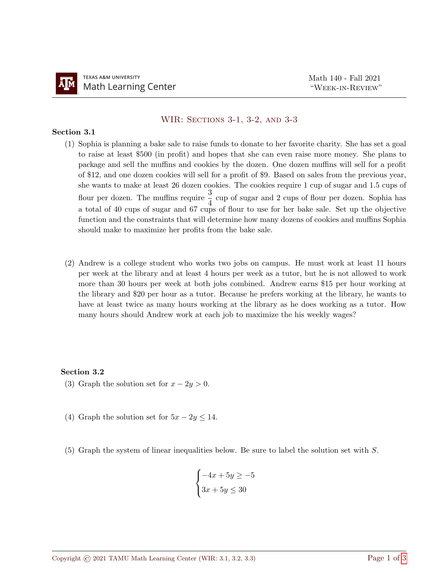## WIR: Sections 3-1, 3-2, and 3-3

## Section 3.1

- (1) Sophia is planning a bake sale to raise funds to donate to her favorite charity. She has set a goal to raise at least \$500 (in profit) and hopes that she can even raise more money. She plans to package and sell the muffins and cookies by the dozen. One dozen muffins will sell for a profit of \$12, and one dozen cookies will sell for a profit of \$9. Based on sales from the previous year, she wants to make at least 26 dozen cookies. The cookies require 1 cup of sugar and 1.5 cups of flour per dozen. The muffins require  $\frac{3}{4}$  cup of sugar and 2 cups of flour per dozen. Sophia has a total of 40 cups of sugar and 67 cups of flour to use for her bake sale. Set up the objective function and the constraints that will determine how many dozens of cookies and muffins Sophia should make to maximize her profits from the bake sale.
- (2) Andrew is a college student who works two jobs on campus. He must work at least 11 hours per week at the library and at least 4 hours per week as a tutor, but he is not allowed to work more than 30 hours per week at both jobs combined. Andrew earns \$15 per hour working at the library and \$20 per hour as a tutor. Because he prefers working at the library, he wants to have at least twice as many hours working at the library as he does working as a tutor. How many hours should Andrew work at each job to maximize the his weekly wages?

## Section 3.2

- (3) Graph the solution set for  $x 2y > 0$ .
- (4) Graph the solution set for  $5x 2y \le 14$ .
- (5) Graph the system of linear inequalities below. Be sure to label the solution set with S.

$$
\begin{cases}\n-4x + 5y \ge -5 \\
3x + 5y \le 30\n\end{cases}
$$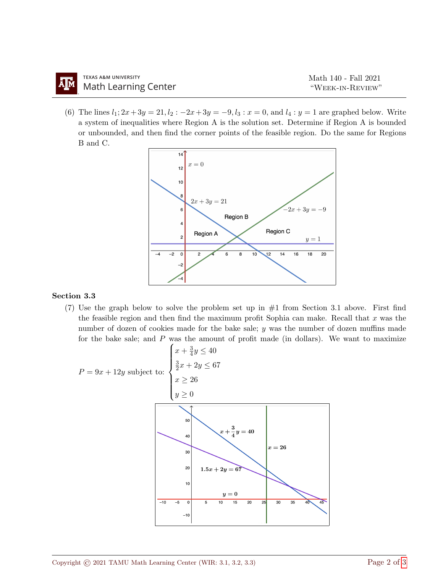(6) The lines  $l_1; 2x+3y = 21, l_2: -2x+3y = -9, l_3: x = 0$ , and  $l_4: y = 1$  are graphed below. Write a system of inequalities where Region A is the solution set. Determine if Region A is bounded or unbounded, and then find the corner points of the feasible region. Do the same for Regions B and C.



## Section 3.3

(7) Use the graph below to solve the problem set up in  $#1$  from Section 3.1 above. First find the feasible region and then find the maximum profit Sophia can make. Recall that  $x$  was the number of dozen of cookies made for the bake sale; y was the number of dozen muffins made for the bake sale; and  $P$  was the amount of profit made (in dollars). We want to maximize